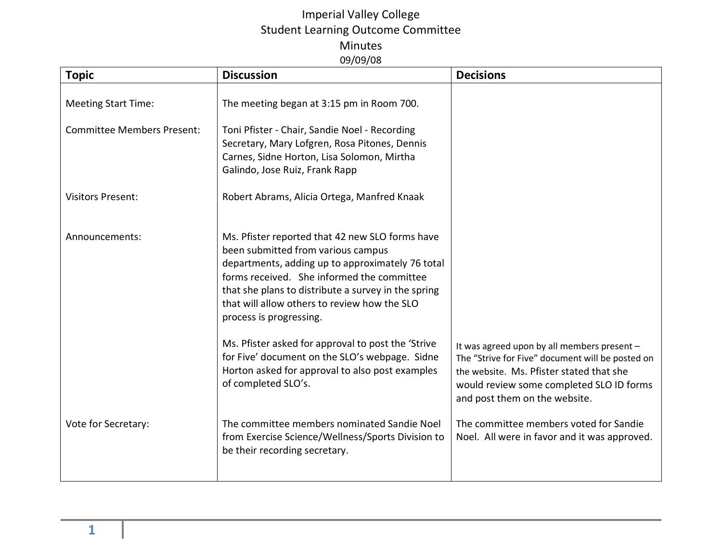## Imperial Valley College Student Learning Outcome Committee Minutes 09/09/08

| <b>Topic</b>                      | <b>Discussion</b>                                                                                                                                                                                                                                                                                                                                                               | <b>Decisions</b>                                                                                                                                                          |
|-----------------------------------|---------------------------------------------------------------------------------------------------------------------------------------------------------------------------------------------------------------------------------------------------------------------------------------------------------------------------------------------------------------------------------|---------------------------------------------------------------------------------------------------------------------------------------------------------------------------|
| <b>Meeting Start Time:</b>        | The meeting began at 3:15 pm in Room 700.                                                                                                                                                                                                                                                                                                                                       |                                                                                                                                                                           |
| <b>Committee Members Present:</b> | Toni Pfister - Chair, Sandie Noel - Recording<br>Secretary, Mary Lofgren, Rosa Pitones, Dennis<br>Carnes, Sidne Horton, Lisa Solomon, Mirtha<br>Galindo, Jose Ruiz, Frank Rapp                                                                                                                                                                                                  |                                                                                                                                                                           |
| <b>Visitors Present:</b>          | Robert Abrams, Alicia Ortega, Manfred Knaak                                                                                                                                                                                                                                                                                                                                     |                                                                                                                                                                           |
| Announcements:                    | Ms. Pfister reported that 42 new SLO forms have<br>been submitted from various campus<br>departments, adding up to approximately 76 total<br>forms received. She informed the committee<br>that she plans to distribute a survey in the spring<br>that will allow others to review how the SLO<br>process is progressing.<br>Ms. Pfister asked for approval to post the 'Strive | It was agreed upon by all members present -                                                                                                                               |
|                                   | for Five' document on the SLO's webpage. Sidne<br>Horton asked for approval to also post examples<br>of completed SLO's.                                                                                                                                                                                                                                                        | The "Strive for Five" document will be posted on<br>the website. Ms. Pfister stated that she<br>would review some completed SLO ID forms<br>and post them on the website. |
| Vote for Secretary:               | The committee members nominated Sandie Noel<br>from Exercise Science/Wellness/Sports Division to<br>be their recording secretary.                                                                                                                                                                                                                                               | The committee members voted for Sandie<br>Noel. All were in favor and it was approved.                                                                                    |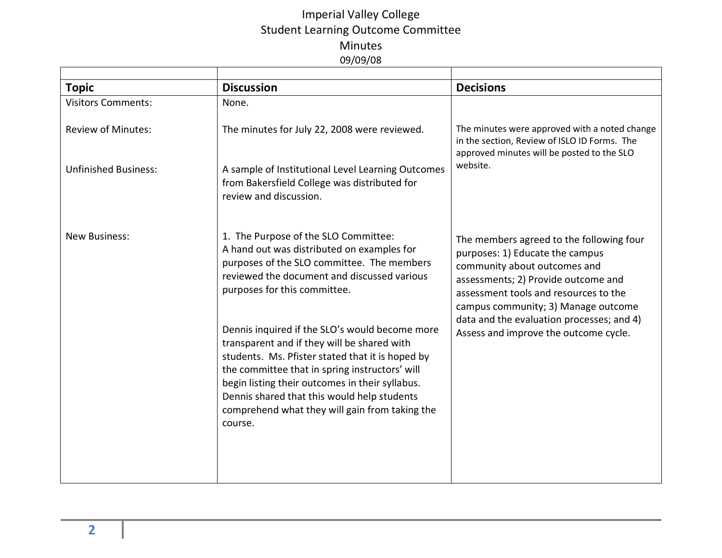## Imperial Valley College Student Learning Outcome Committee Minutes 09/09/08

| <b>Topic</b>                | <b>Discussion</b>                                                                                                                                                                                                                                                                                                                                                  | <b>Decisions</b>                                                                                                                                                                                                                                                                                                         |
|-----------------------------|--------------------------------------------------------------------------------------------------------------------------------------------------------------------------------------------------------------------------------------------------------------------------------------------------------------------------------------------------------------------|--------------------------------------------------------------------------------------------------------------------------------------------------------------------------------------------------------------------------------------------------------------------------------------------------------------------------|
| <b>Visitors Comments:</b>   | None.                                                                                                                                                                                                                                                                                                                                                              |                                                                                                                                                                                                                                                                                                                          |
| <b>Review of Minutes:</b>   | The minutes for July 22, 2008 were reviewed.                                                                                                                                                                                                                                                                                                                       | The minutes were approved with a noted change<br>in the section, Review of ISLO ID Forms. The<br>approved minutes will be posted to the SLO<br>website.                                                                                                                                                                  |
| <b>Unfinished Business:</b> | A sample of Institutional Level Learning Outcomes<br>from Bakersfield College was distributed for<br>review and discussion.                                                                                                                                                                                                                                        |                                                                                                                                                                                                                                                                                                                          |
| <b>New Business:</b>        | 1. The Purpose of the SLO Committee:<br>A hand out was distributed on examples for<br>purposes of the SLO committee. The members<br>reviewed the document and discussed various<br>purposes for this committee.                                                                                                                                                    | The members agreed to the following four<br>purposes: 1) Educate the campus<br>community about outcomes and<br>assessments; 2) Provide outcome and<br>assessment tools and resources to the<br>campus community; 3) Manage outcome<br>data and the evaluation processes; and 4)<br>Assess and improve the outcome cycle. |
|                             | Dennis inquired if the SLO's would become more<br>transparent and if they will be shared with<br>students. Ms. Pfister stated that it is hoped by<br>the committee that in spring instructors' will<br>begin listing their outcomes in their syllabus.<br>Dennis shared that this would help students<br>comprehend what they will gain from taking the<br>course. |                                                                                                                                                                                                                                                                                                                          |